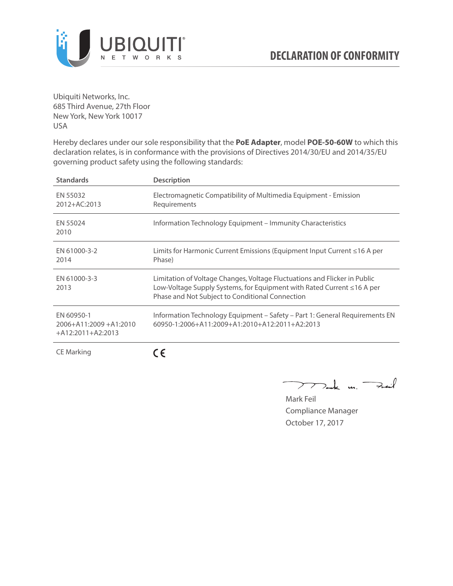

Ubiquiti Networks, Inc. 685 Third Avenue, 27th Floor New York, New York 10017 USA

Hereby declares under our sole responsibility that the **PoE Adapter**, model **POE-50-60W** to which this declaration relates, is in conformance with the provisions of Directives 2014/30/EU and 2014/35/EU governing product safety using the following standards:

| <b>Standards</b>                                                 | <b>Description</b>                                                                                                                                                                                     |
|------------------------------------------------------------------|--------------------------------------------------------------------------------------------------------------------------------------------------------------------------------------------------------|
| EN 55032<br>2012+AC:2013                                         | Electromagnetic Compatibility of Multimedia Equipment - Emission<br>Requirements                                                                                                                       |
| EN 55024<br>2010                                                 | Information Technology Equipment – Immunity Characteristics                                                                                                                                            |
| EN 61000-3-2<br>2014                                             | Limits for Harmonic Current Emissions (Equipment Input Current ≤16 A per<br>Phase)                                                                                                                     |
| EN 61000-3-3<br>2013                                             | Limitation of Voltage Changes, Voltage Fluctuations and Flicker in Public<br>Low-Voltage Supply Systems, for Equipment with Rated Current ≤16 A per<br>Phase and Not Subject to Conditional Connection |
| EN 60950-1<br>$2006 + A11:2009 + A1:2010$<br>$+A12:2011+A2:2013$ | Information Technology Equipment – Safety – Part 1: General Requirements EN<br>$60950 - 1:2006 + A11:2009 + A1:2010 + A12:2011 + A2:2013$                                                              |
| <b>CE Marking</b>                                                |                                                                                                                                                                                                        |

Dark m. Fail  $\rightarrow$ 

Mark Feil Compliance Manager October 17, 2017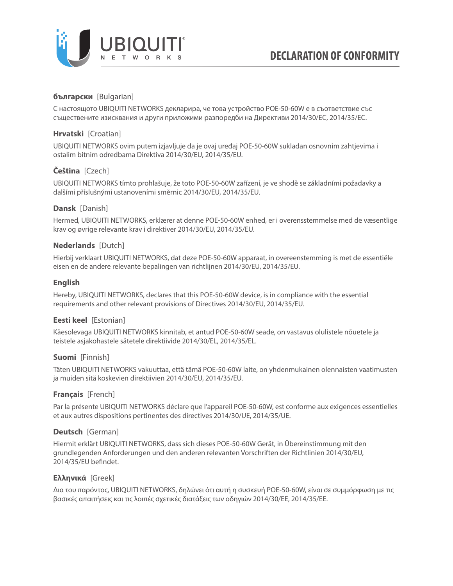

# **български** [Bulgarian]

С настоящото UBIQUITI NETWORKS декларира, че това устройство POE-50-60W е в съответствие със съществените изисквания и други приложими разпоредби на Директиви 2014/30/ЕС, 2014/35/ЕС.

## **Hrvatski** [Croatian]

UBIQUITI NETWORKS ovim putem izjavljuje da je ovaj uređaj POE-50-60W sukladan osnovnim zahtjevima i ostalim bitnim odredbama Direktiva 2014/30/EU, 2014/35/EU.

# **Čeština** [Czech]

UBIQUITI NETWORKS tímto prohlašuje, že toto POE-50-60W zařízení, je ve shodě se základními požadavky a dalšími příslušnými ustanoveními směrnic 2014/30/EU, 2014/35/EU.

## **Dansk** [Danish]

Hermed, UBIQUITI NETWORKS, erklærer at denne POE-50-60W enhed, er i overensstemmelse med de væsentlige krav og øvrige relevante krav i direktiver 2014/30/EU, 2014/35/EU.

## **Nederlands** [Dutch]

Hierbij verklaart UBIQUITI NETWORKS, dat deze POE-50-60W apparaat, in overeenstemming is met de essentiële eisen en de andere relevante bepalingen van richtlijnen 2014/30/EU, 2014/35/EU.

## **English**

Hereby, UBIQUITI NETWORKS, declares that this POE-50-60W device, is in compliance with the essential requirements and other relevant provisions of Directives 2014/30/EU, 2014/35/EU.

## **Eesti keel** [Estonian]

Käesolevaga UBIQUITI NETWORKS kinnitab, et antud POE-50-60W seade, on vastavus olulistele nõuetele ja teistele asjakohastele sätetele direktiivide 2014/30/EL, 2014/35/EL.

### **Suomi** [Finnish]

Täten UBIQUITI NETWORKS vakuuttaa, että tämä POE-50-60W laite, on yhdenmukainen olennaisten vaatimusten ja muiden sitä koskevien direktiivien 2014/30/EU, 2014/35/EU.

### **Français** [French]

Par la présente UBIQUITI NETWORKS déclare que l'appareil POE-50-60W, est conforme aux exigences essentielles et aux autres dispositions pertinentes des directives 2014/30/UE, 2014/35/UE.

### **Deutsch** [German]

Hiermit erklärt UBIQUITI NETWORKS, dass sich dieses POE-50-60W Gerät, in Übereinstimmung mit den grundlegenden Anforderungen und den anderen relevanten Vorschriften der Richtlinien 2014/30/EU, 2014/35/EU befindet.

### **Ελληνικά** [Greek]

Δια του παρόντος, UBIQUITI NETWORKS, δηλώνει ότι αυτή η συσκευή POE-50-60W, είναι σε συμμόρφωση με τις βασικές απαιτήσεις και τις λοιπές σχετικές διατάξεις των οδηγιών 2014/30/EE, 2014/35/EE.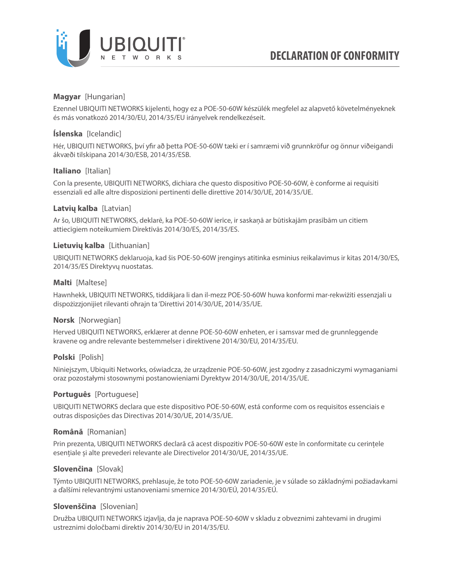

## **Magyar** [Hungarian]

Ezennel UBIQUITI NETWORKS kijelenti, hogy ez a POE-50-60W készülék megfelel az alapvető követelményeknek és más vonatkozó 2014/30/EU, 2014/35/EU irányelvek rendelkezéseit.

## **Íslenska** [Icelandic]

Hér, UBIQUITI NETWORKS, því yfir að þetta POE-50-60W tæki er í samræmi við grunnkröfur og önnur viðeigandi ákvæði tilskipana 2014/30/ESB, 2014/35/ESB.

## **Italiano** [Italian]

Con la presente, UBIQUITI NETWORKS, dichiara che questo dispositivo POE-50-60W, è conforme ai requisiti essenziali ed alle altre disposizioni pertinenti delle direttive 2014/30/UE, 2014/35/UE.

## **Latvių kalba** [Latvian]

Ar šo, UBIQUITI NETWORKS, deklarē, ka POE-50-60W ierīce, ir saskaņā ar būtiskajām prasībām un citiem attiecīgiem noteikumiem Direktīvās 2014/30/ES, 2014/35/ES.

### **Lietuvių kalba** [Lithuanian]

UBIQUITI NETWORKS deklaruoja, kad šis POE-50-60W įrenginys atitinka esminius reikalavimus ir kitas 2014/30/ES, 2014/35/ES Direktyvų nuostatas.

## **Malti** [Maltese]

Hawnhekk, UBIQUITI NETWORKS, tiddikjara li dan il-mezz POE-50-60W huwa konformi mar-rekwiżiti essenzjali u dispożizzjonijiet rilevanti oħrajn ta 'Direttivi 2014/30/UE, 2014/35/UE.

### **Norsk** [Norwegian]

Herved UBIQUITI NETWORKS, erklærer at denne POE-50-60W enheten, er i samsvar med de grunnleggende kravene og andre relevante bestemmelser i direktivene 2014/30/EU, 2014/35/EU.

### **Polski** [Polish]

Niniejszym, Ubiquiti Networks, oświadcza, że urządzenie POE-50-60W, jest zgodny z zasadniczymi wymaganiami oraz pozostałymi stosownymi postanowieniami Dyrektyw 2014/30/UE, 2014/35/UE.

### **Português** [Portuguese]

UBIQUITI NETWORKS declara que este dispositivo POE-50-60W, está conforme com os requisitos essenciais e outras disposições das Directivas 2014/30/UE, 2014/35/UE.

### **Română** [Romanian]

Prin prezenta, UBIQUITI NETWORKS declară că acest dispozitiv POE-50-60W este în conformitate cu cerințele esențiale și alte prevederi relevante ale Directivelor 2014/30/UE, 2014/35/UE.

### **Slovenčina** [Slovak]

Týmto UBIQUITI NETWORKS, prehlasuje, že toto POE-50-60W zariadenie, je v súlade so základnými požiadavkami a ďalšími relevantnými ustanoveniami smernice 2014/30/EÚ, 2014/35/EÚ.

### **Slovenščina** [Slovenian]

Družba UBIQUITI NETWORKS izjavlja, da je naprava POE-50-60W v skladu z obveznimi zahtevami in drugimi ustreznimi določbami direktiv 2014/30/EU in 2014/35/EU.